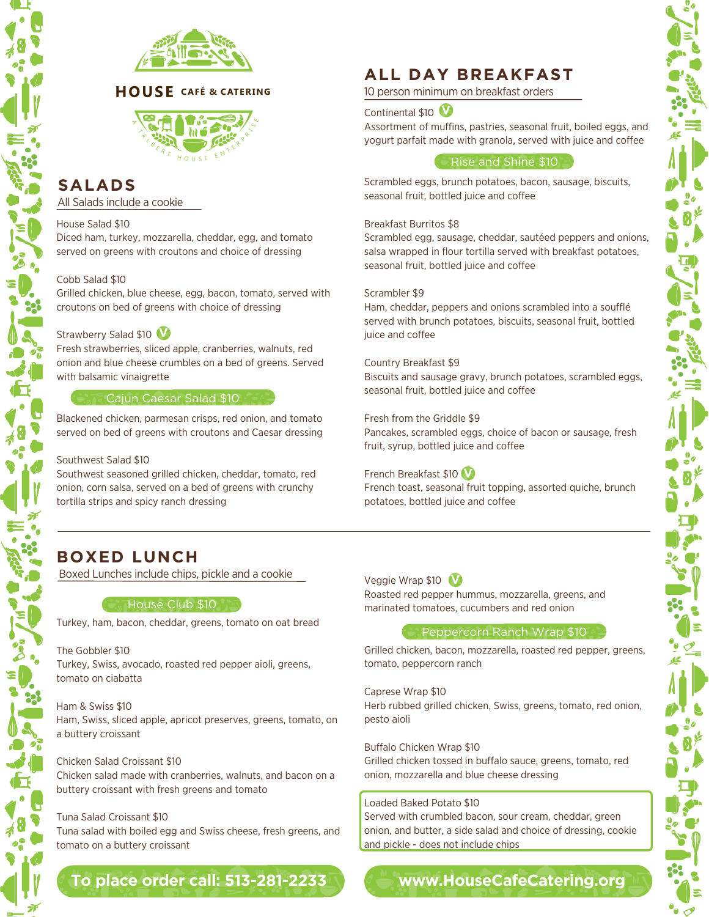

## **HOUSE** CAFÉ & CATERING



# **SALADS**

All Salads include a cookie

#### House Salad \$10

Diced ham, turkey, mozzarella, cheddar, egg, and tomato served on greens with croutons and choice of dressing

#### Cobb Salad \$10

Grilled chicken, blue cheese, egg, bacon, tomato, served with croutons on bed of greens with choice of dressing

## Strawberry Salad \$10 **V**

Fresh strawberries, sliced apple, cranberries, walnuts, red onion and blue cheese crumbles on a bed of greens. Served with balsamic vinaigrette

### **Cajun Caesar Salad \$10 Care**

Blackened chicken, parmesan crisps, red onion, and tomato served on bed of greens with croutons and Caesar dressing

#### Southwest Salad \$10

Southwest seasoned grilled chicken, cheddar, tomato, red onion, corn salsa, served on a bed of greens with crunchy tortilla strips and spicy ranch dressing

# **ALL DAY BREAKFAST**

10 person minimum on breakfast orders

#### Continental \$10 **V**

Assortment of muffins, pastries, seasonal fruit, boiled eggs, and yogurt parfait made with granola, served with juice and coffee

#### Rise and Shine \$10

Scrambled eggs, brunch potatoes, bacon, sausage, biscuits, seasonal fruit, bottled juice and coffee

#### Breakfast Burritos \$8

Scrambled egg, sausage, cheddar, sautéed peppers and onions, salsa wrapped in flour tortilla served with breakfast potatoes, seasonal fruit, bottled juice and coffee

#### Scrambler \$9

Ham, cheddar, peppers and onions scrambled into a soufflé served with brunch potatoes, biscuits, seasonal fruit, bottled juice and coffee

#### Country Breakfast \$9

Biscuits and sausage gravy, brunch potatoes, scrambled eggs, seasonal fruit, bottled juice and coffee

Fresh from the Griddle \$9

Pancakes, scrambled eggs, choice of bacon or sausage, fresh fruit, syrup, bottled juice and coffee

#### French Breakfast \$10 **V**

French toast, seasonal fruit topping, assorted quiche, brunch potatoes, bottled juice and coffee

## **BOXED LUNCH**

Boxed Lunches include chips, pickle and a cookie

#### **House Club \$10**

Turkey, ham, bacon, cheddar, greens, tomato on oat bread

#### The Gobbler \$10 Turkey, Swiss, avocado, roasted red pepper aioli, greens, tomato on ciabatta

Ham & Swiss \$10 Ham, Swiss, sliced apple, apricot preserves, greens, tomato, on a buttery croissant

#### Chicken Salad Croissant \$10

Chicken salad made with cranberries, walnuts, and bacon on a buttery croissant with fresh greens and tomato

#### Tuna Salad Croissant \$10

Tuna salad with boiled egg and Swiss cheese, fresh greens, and tomato on a buttery croissant

## **To place order call: [513-281-2233](tel:5132812233)**

Veggie Wrap \$10 **V**

Roasted red pepper hummus, mozzarella, greens, and marinated tomatoes, cucumbers and red onion

#### Peppercorn Ranch Wrap \$10

Grilled chicken, bacon, mozzarella, roasted red pepper, greens, tomato, peppercorn ranch

Caprese Wrap \$10 Herb rubbed grilled chicken, Swiss, greens, tomato, red onion, pesto aioli

#### Buffalo Chicken Wrap \$10

Grilled chicken tossed in buffalo sauce, greens, tomato, red onion, mozzarella and blue cheese dressing

### Loaded Baked Potato \$10

Served with crumbled bacon, sour cream, cheddar, green onion, and butter, a side salad and choice of dressing, cookie and pickle - does not include chips

# **[www.HouseCafeCatering.org](http://housecafecatering.org/)**